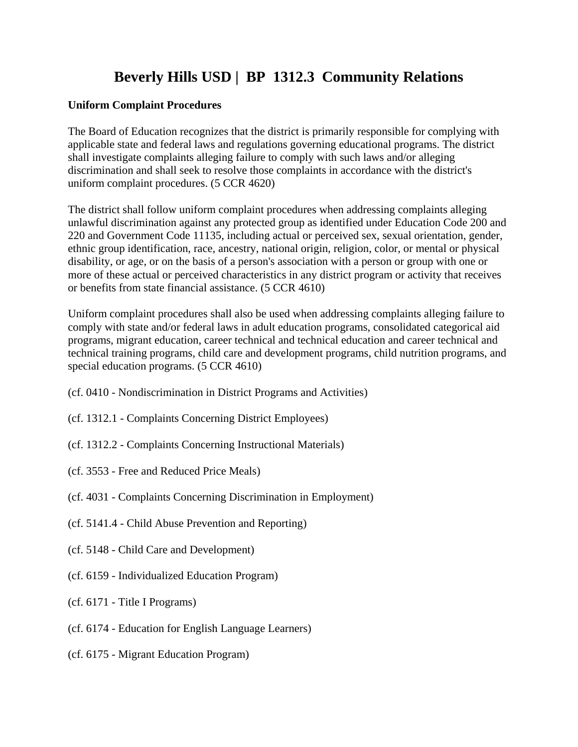# **Beverly Hills USD | BP 1312.3 Community Relations**

## **Uniform Complaint Procedures**

The Board of Education recognizes that the district is primarily responsible for complying with applicable state and federal laws and regulations governing educational programs. The district shall investigate complaints alleging failure to comply with such laws and/or alleging discrimination and shall seek to resolve those complaints in accordance with the district's uniform complaint procedures. (5 CCR 4620)

The district shall follow uniform complaint procedures when addressing complaints alleging unlawful discrimination against any protected group as identified under Education Code 200 and 220 and Government Code 11135, including actual or perceived sex, sexual orientation, gender, ethnic group identification, race, ancestry, national origin, religion, color, or mental or physical disability, or age, or on the basis of a person's association with a person or group with one or more of these actual or perceived characteristics in any district program or activity that receives or benefits from state financial assistance. (5 CCR 4610)

Uniform complaint procedures shall also be used when addressing complaints alleging failure to comply with state and/or federal laws in adult education programs, consolidated categorical aid programs, migrant education, career technical and technical education and career technical and technical training programs, child care and development programs, child nutrition programs, and special education programs. (5 CCR 4610)

- (cf. 0410 Nondiscrimination in District Programs and Activities)
- (cf. 1312.1 Complaints Concerning District Employees)
- (cf. 1312.2 Complaints Concerning Instructional Materials)
- (cf. 3553 Free and Reduced Price Meals)
- (cf. 4031 Complaints Concerning Discrimination in Employment)
- (cf. 5141.4 Child Abuse Prevention and Reporting)
- (cf. 5148 Child Care and Development)
- (cf. 6159 Individualized Education Program)
- (cf. 6171 Title I Programs)
- (cf. 6174 Education for English Language Learners)
- (cf. 6175 Migrant Education Program)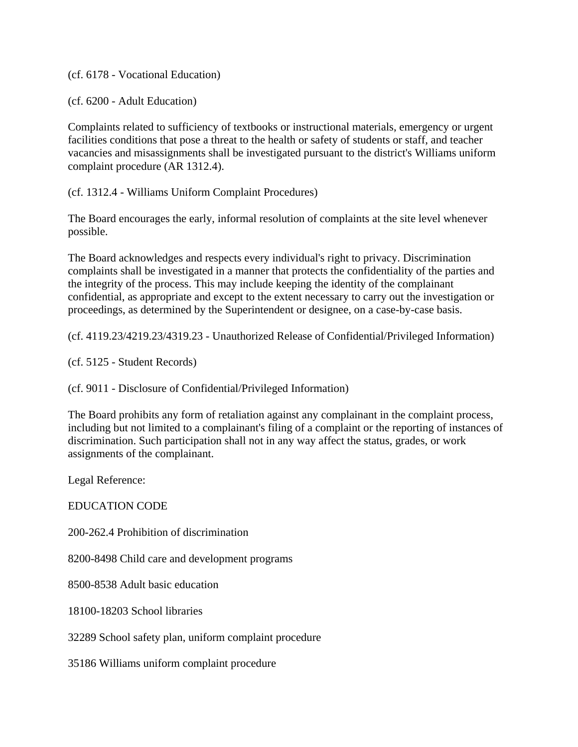(cf. 6178 - Vocational Education)

(cf. 6200 - Adult Education)

Complaints related to sufficiency of textbooks or instructional materials, emergency or urgent facilities conditions that pose a threat to the health or safety of students or staff, and teacher vacancies and misassignments shall be investigated pursuant to the district's Williams uniform complaint procedure (AR 1312.4).

(cf. 1312.4 - Williams Uniform Complaint Procedures)

The Board encourages the early, informal resolution of complaints at the site level whenever possible.

The Board acknowledges and respects every individual's right to privacy. Discrimination complaints shall be investigated in a manner that protects the confidentiality of the parties and the integrity of the process. This may include keeping the identity of the complainant confidential, as appropriate and except to the extent necessary to carry out the investigation or proceedings, as determined by the Superintendent or designee, on a case-by-case basis.

(cf. 4119.23/4219.23/4319.23 - Unauthorized Release of Confidential/Privileged Information)

(cf. 5125 - Student Records)

(cf. 9011 - Disclosure of Confidential/Privileged Information)

The Board prohibits any form of retaliation against any complainant in the complaint process, including but not limited to a complainant's filing of a complaint or the reporting of instances of discrimination. Such participation shall not in any way affect the status, grades, or work assignments of the complainant.

Legal Reference:

EDUCATION CODE

200-262.4 Prohibition of discrimination

8200-8498 Child care and development programs

8500-8538 Adult basic education

18100-18203 School libraries

32289 School safety plan, uniform complaint procedure

35186 Williams uniform complaint procedure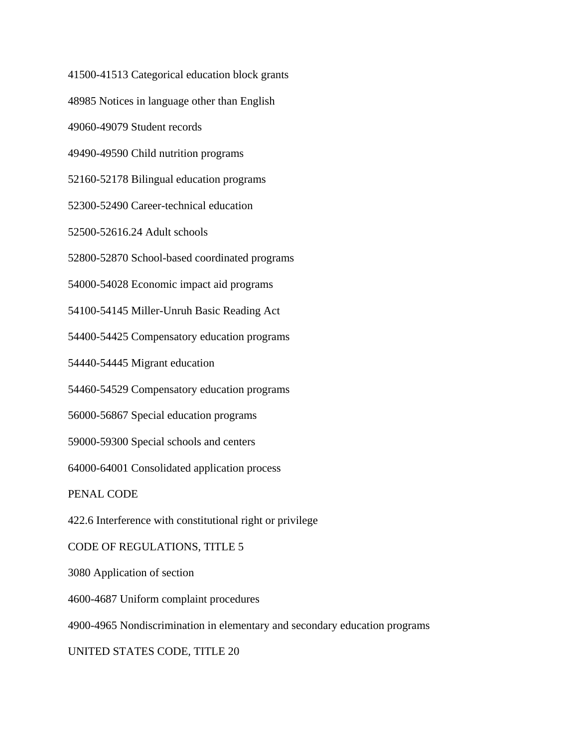41500-41513 Categorical education block grants

48985 Notices in language other than English

49060-49079 Student records

49490-49590 Child nutrition programs

52160-52178 Bilingual education programs

52300-52490 Career-technical education

52500-52616.24 Adult schools

52800-52870 School-based coordinated programs

54000-54028 Economic impact aid programs

54100-54145 Miller-Unruh Basic Reading Act

54400-54425 Compensatory education programs

54440-54445 Migrant education

54460-54529 Compensatory education programs

56000-56867 Special education programs

59000-59300 Special schools and centers

64000-64001 Consolidated application process

PENAL CODE

422.6 Interference with constitutional right or privilege

#### CODE OF REGULATIONS, TITLE 5

3080 Application of section

4600-4687 Uniform complaint procedures

4900-4965 Nondiscrimination in elementary and secondary education programs

### UNITED STATES CODE, TITLE 20